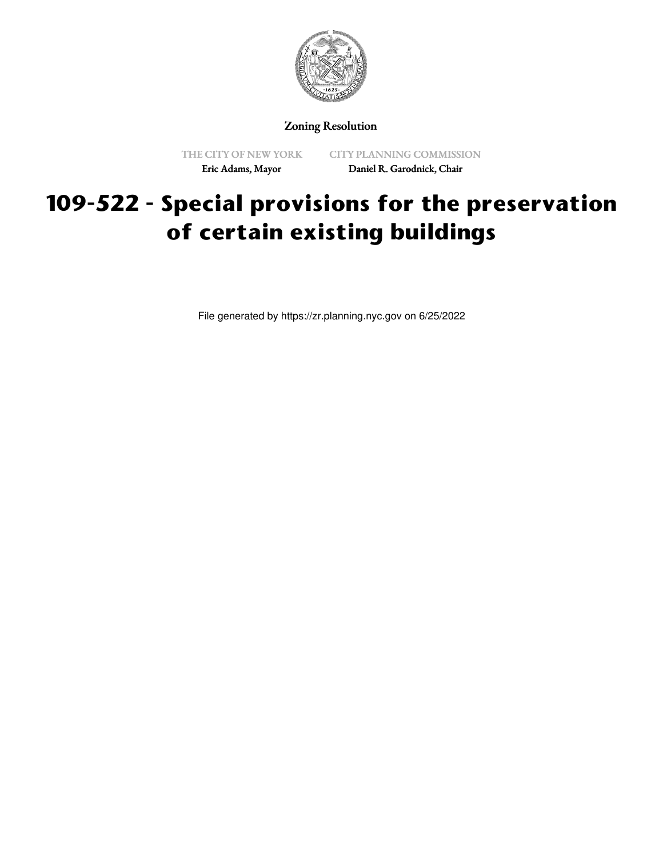

Zoning Resolution

THE CITY OF NEW YORK Eric Adams, Mayor

CITY PLANNING COMMISSION Daniel R. Garodnick, Chair

## **109-522 - Special provisions for the preservation of certain existing buildings**

File generated by https://zr.planning.nyc.gov on 6/25/2022